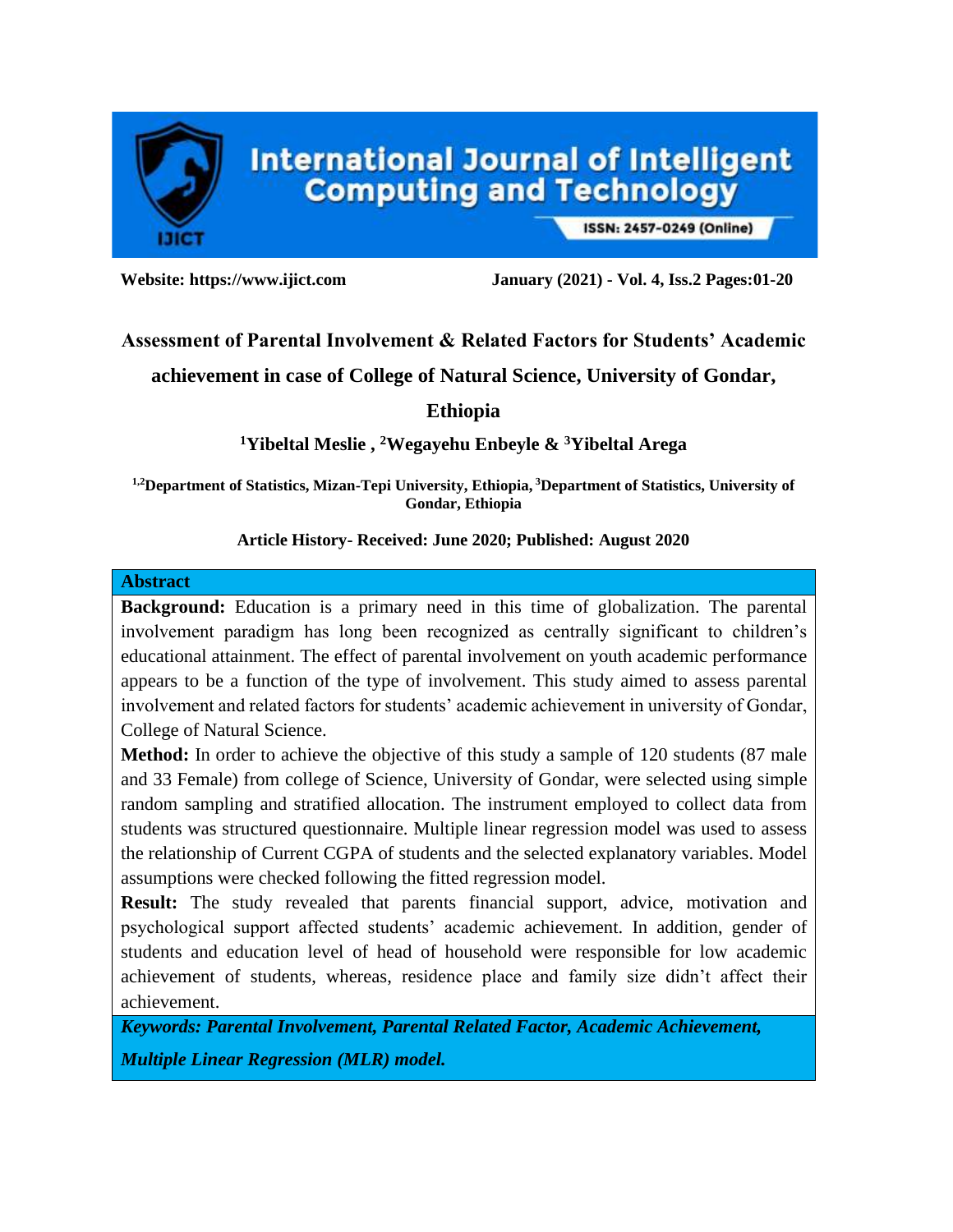

ISSN: 2457-0249 (Online)

**Website: https://www.ijict.com January (2021) - Vol. 4, Iss.2 Pages:01-20**

## **Assessment of Parental Involvement & Related Factors for Students' Academic**

**achievement in case of College of Natural Science, University of Gondar,** 

**Ethiopia**

## **<sup>1</sup>Yibeltal Meslie , <sup>2</sup>Wegayehu Enbeyle & <sup>3</sup>Yibeltal Arega**

**1,2Department of Statistics, Mizan-Tepi University, Ethiopia, <sup>3</sup>Department of Statistics, University of Gondar, Ethiopia**

### **Article History- Received: June 2020; Published: August 2020**

### **Abstract**

**Background:** Education is a primary need in this time of globalization. The parental involvement paradigm has long been recognized as centrally significant to children's educational attainment. The effect of parental involvement on youth academic performance appears to be a function of the type of involvement. This study aimed to assess parental involvement and related factors for students' academic achievement in university of Gondar, College of Natural Science.

**Method:** In order to achieve the objective of this study a sample of 120 students (87 male and 33 Female) from college of Science, University of Gondar, were selected using simple random sampling and stratified allocation. The instrument employed to collect data from students was structured questionnaire. Multiple linear regression model was used to assess the relationship of Current CGPA of students and the selected explanatory variables. Model assumptions were checked following the fitted regression model.

**Result:** The study revealed that parents financial support, advice, motivation and psychological support affected students' academic achievement. In addition, gender of students and education level of head of household were responsible for low academic achievement of students, whereas, residence place and family size didn't affect their achievement.

*Keywords: Parental Involvement, Parental Related Factor, Academic Achievement, Multiple Linear Regression (MLR) model.*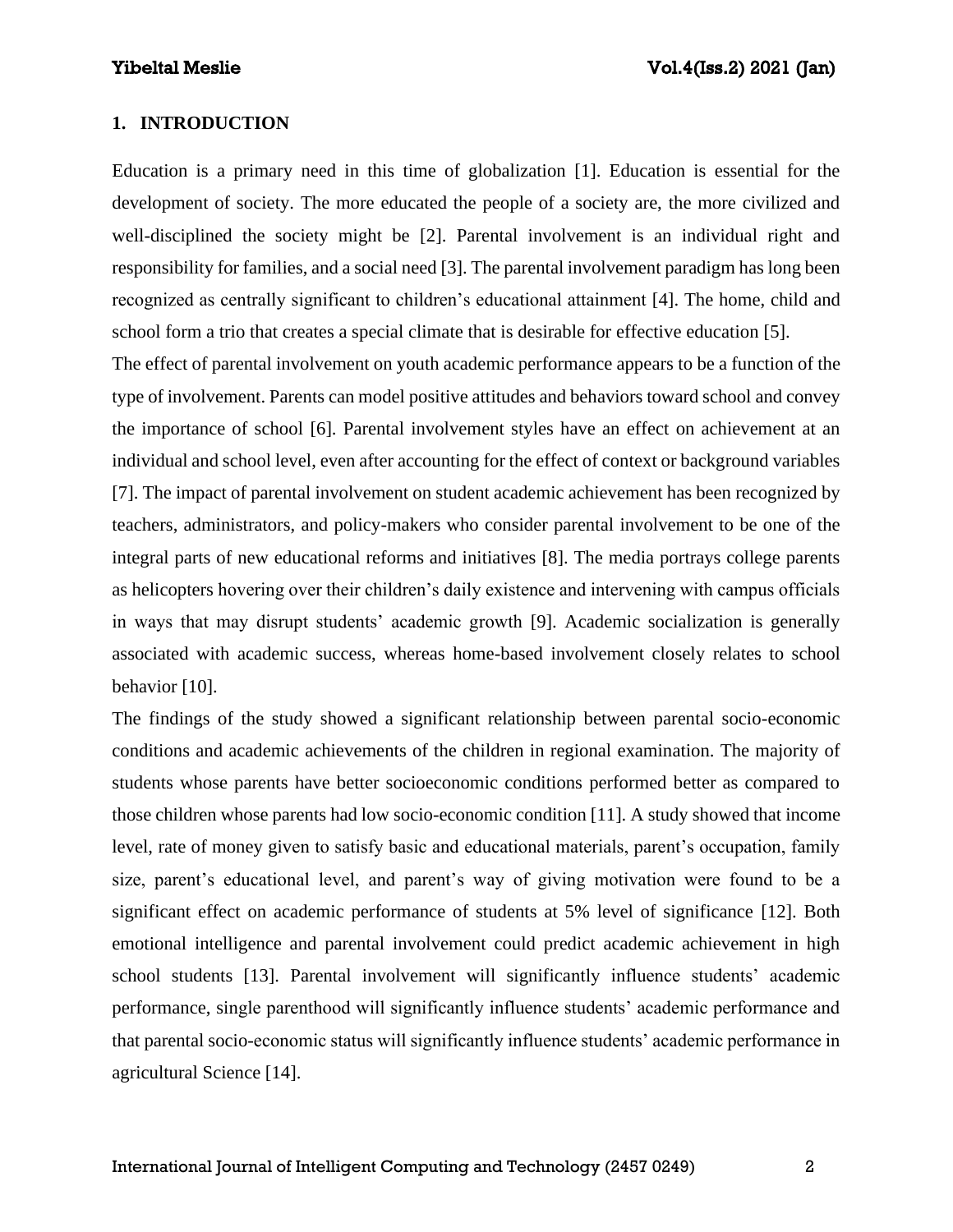### **1. INTRODUCTION**

Education is a primary need in this time of globalization [1]. Education is essential for the development of society. The more educated the people of a society are, the more civilized and well-disciplined the society might be [2]. Parental involvement is an individual right and responsibility for families, and a social need [3]. The parental involvement paradigm has long been recognized as centrally significant to children's educational attainment [4]. The home, child and school form a trio that creates a special climate that is desirable for effective education [5].

The effect of parental involvement on youth academic performance appears to be a function of the type of involvement. Parents can model positive attitudes and behaviors toward school and convey the importance of school [6]. Parental involvement styles have an effect on achievement at an individual and school level, even after accounting for the effect of context or background variables [7]. The impact of parental involvement on student academic achievement has been recognized by teachers, administrators, and policy-makers who consider parental involvement to be one of the integral parts of new educational reforms and initiatives [8]. The media portrays college parents as helicopters hovering over their children's daily existence and intervening with campus officials in ways that may disrupt students' academic growth [9]. Academic socialization is generally associated with academic success, whereas home-based involvement closely relates to school behavior [10].

The findings of the study showed a significant relationship between parental socio-economic conditions and academic achievements of the children in regional examination. The majority of students whose parents have better socioeconomic conditions performed better as compared to those children whose parents had low socio-economic condition [11]. A study showed that income level, rate of money given to satisfy basic and educational materials, parent's occupation, family size, parent's educational level, and parent's way of giving motivation were found to be a significant effect on academic performance of students at 5% level of significance [12]. Both emotional intelligence and parental involvement could predict academic achievement in high school students [13]. Parental involvement will significantly influence students' academic performance, single parenthood will significantly influence students' academic performance and that parental socio-economic status will significantly influence students' academic performance in agricultural Science [14].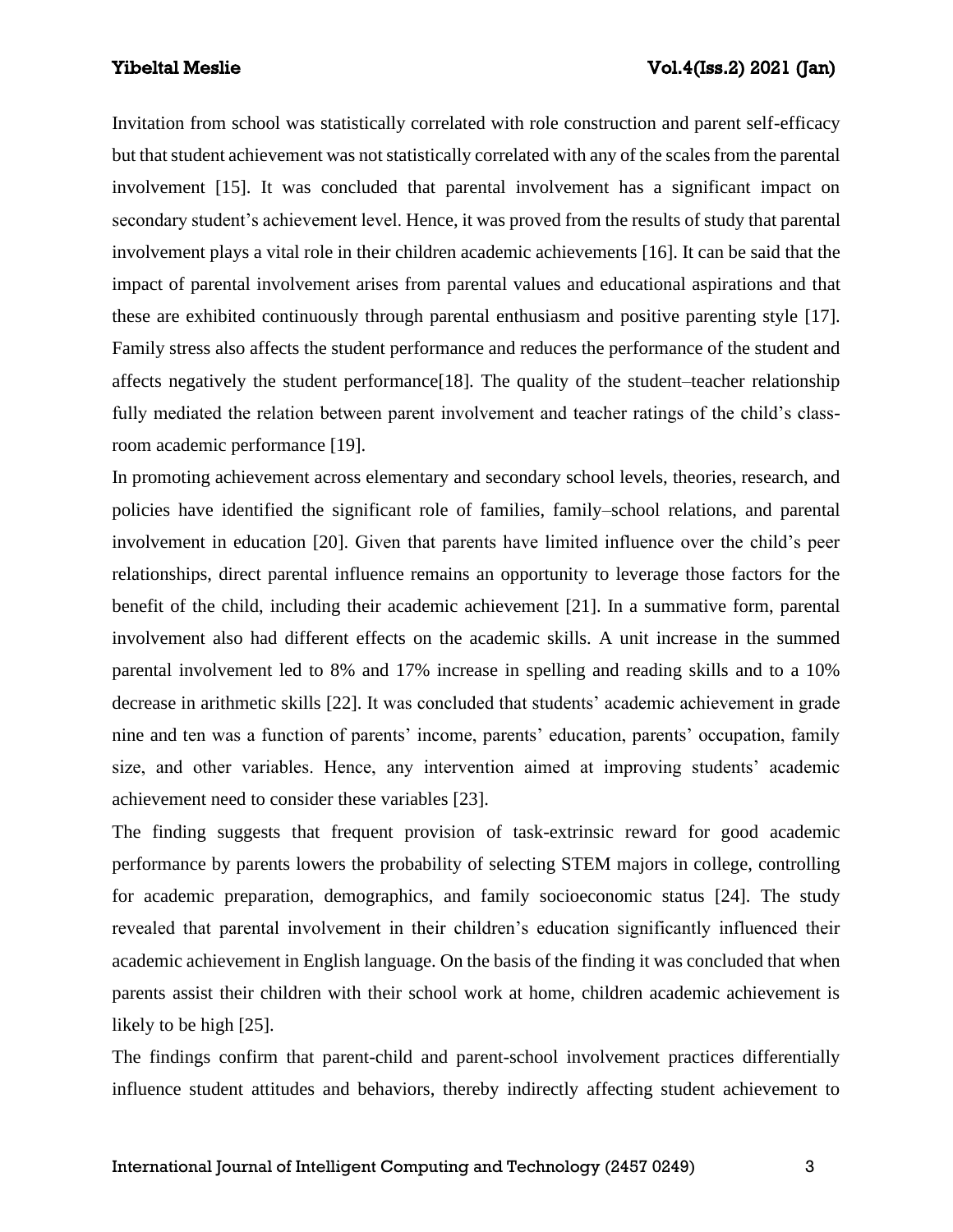Invitation from school was statistically correlated with role construction and parent self-efficacy but that student achievement was not statistically correlated with any of the scales from the parental involvement [15]. It was concluded that parental involvement has a significant impact on secondary student's achievement level. Hence, it was proved from the results of study that parental involvement plays a vital role in their children academic achievements [16]. It can be said that the impact of parental involvement arises from parental values and educational aspirations and that these are exhibited continuously through parental enthusiasm and positive parenting style [17]. Family stress also affects the student performance and reduces the performance of the student and affects negatively the student performance[18]. The quality of the student–teacher relationship fully mediated the relation between parent involvement and teacher ratings of the child's classroom academic performance [19].

In promoting achievement across elementary and secondary school levels, theories, research, and policies have identified the significant role of families, family–school relations, and parental involvement in education [20]. Given that parents have limited influence over the child's peer relationships, direct parental influence remains an opportunity to leverage those factors for the benefit of the child, including their academic achievement [21]. In a summative form, parental involvement also had different effects on the academic skills. A unit increase in the summed parental involvement led to 8% and 17% increase in spelling and reading skills and to a 10% decrease in arithmetic skills [22]. It was concluded that students' academic achievement in grade nine and ten was a function of parents' income, parents' education, parents' occupation, family size, and other variables. Hence, any intervention aimed at improving students' academic achievement need to consider these variables [23].

The finding suggests that frequent provision of task-extrinsic reward for good academic performance by parents lowers the probability of selecting STEM majors in college, controlling for academic preparation, demographics, and family socioeconomic status [24]. The study revealed that parental involvement in their children's education significantly influenced their academic achievement in English language. On the basis of the finding it was concluded that when parents assist their children with their school work at home, children academic achievement is likely to be high [25].

The findings confirm that parent-child and parent-school involvement practices differentially influence student attitudes and behaviors, thereby indirectly affecting student achievement to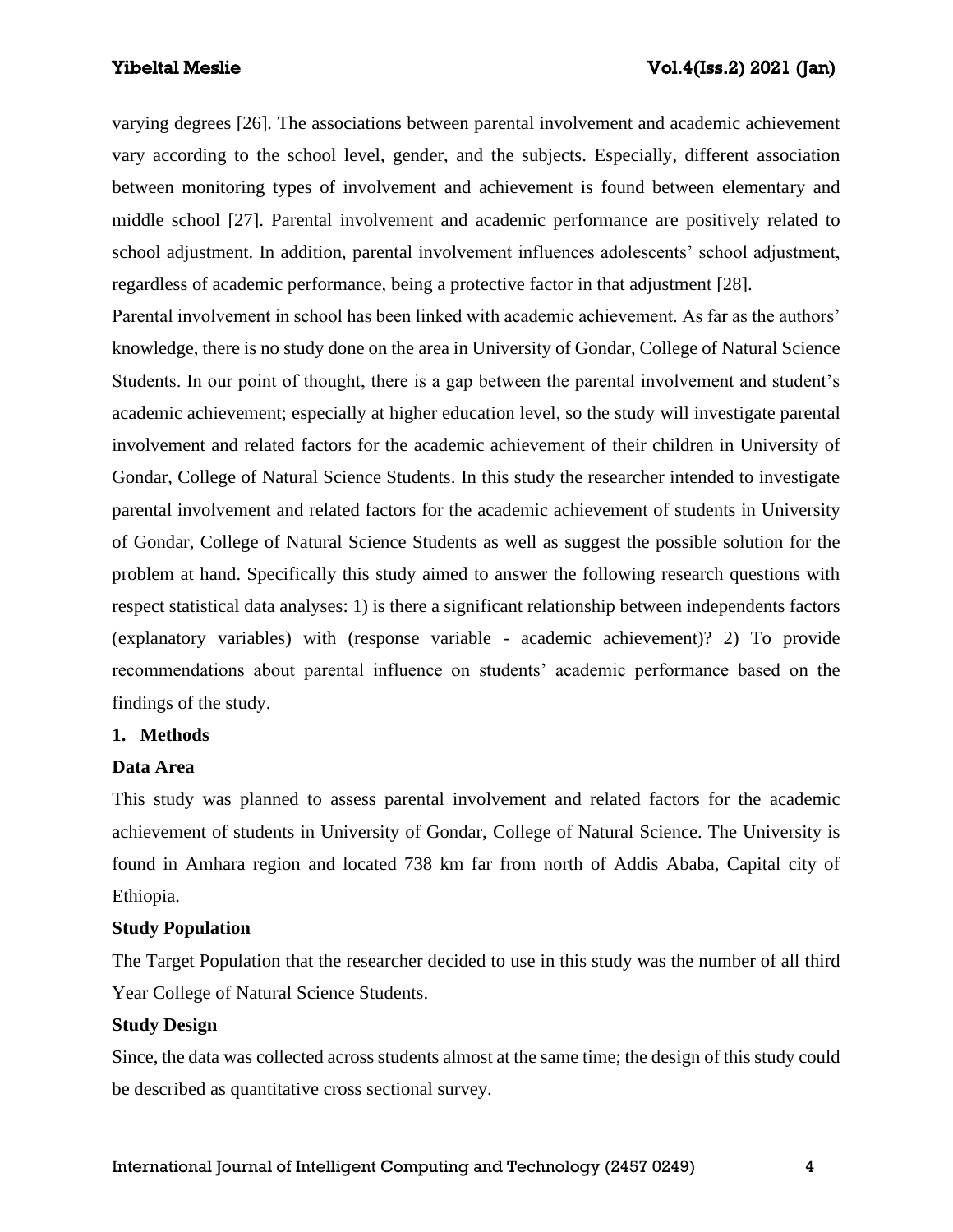varying degrees [26]. The associations between parental involvement and academic achievement vary according to the school level, gender, and the subjects. Especially, different association between monitoring types of involvement and achievement is found between elementary and middle school [27]. Parental involvement and academic performance are positively related to school adjustment. In addition, parental involvement influences adolescents' school adjustment, regardless of academic performance, being a protective factor in that adjustment [28].

Parental involvement in school has been linked with academic achievement. As far as the authors' knowledge, there is no study done on the area in University of Gondar, College of Natural Science Students. In our point of thought, there is a gap between the parental involvement and student's academic achievement; especially at higher education level, so the study will investigate parental involvement and related factors for the academic achievement of their children in University of Gondar, College of Natural Science Students. In this study the researcher intended to investigate parental involvement and related factors for the academic achievement of students in University of Gondar, College of Natural Science Students as well as suggest the possible solution for the problem at hand. Specifically this study aimed to answer the following research questions with respect statistical data analyses: 1) is there a significant relationship between independents factors (explanatory variables) with (response variable - academic achievement)? 2) To provide recommendations about parental influence on students' academic performance based on the findings of the study.

### **1. Methods**

### **Data Area**

This study was planned to assess parental involvement and related factors for the academic achievement of students in University of Gondar, College of Natural Science. The University is found in Amhara region and located 738 km far from north of Addis Ababa, Capital city of Ethiopia.

### **Study Population**

The Target Population that the researcher decided to use in this study was the number of all third Year College of Natural Science Students.

#### **Study Design**

Since, the data was collected across students almost at the same time; the design of this study could be described as quantitative cross sectional survey.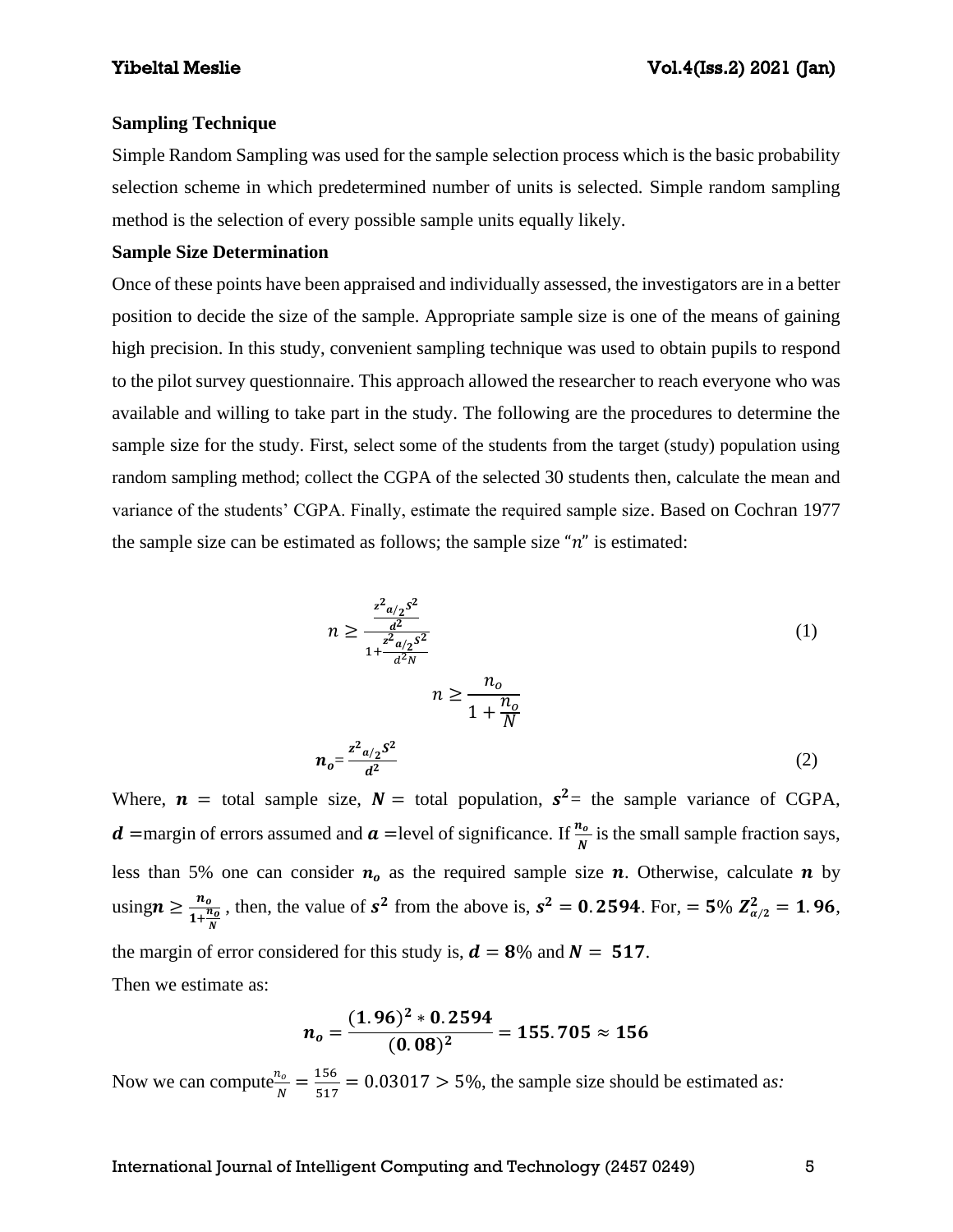#### **Sampling Technique**

Simple Random Sampling was used for the sample selection process which is the basic probability selection scheme in which predetermined number of units is selected. Simple random sampling method is the selection of every possible sample units equally likely.

### **Sample Size Determination**

Once of these points have been appraised and individually assessed, the investigators are in a better position to decide the size of the sample. Appropriate sample size is one of the means of gaining high precision. In this study, convenient sampling technique was used to obtain pupils to respond to the pilot survey questionnaire. This approach allowed the researcher to reach everyone who was available and willing to take part in the study. The following are the procedures to determine the sample size for the study. First, select some of the students from the target (study) population using random sampling method; collect the CGPA of the selected 30 students then, calculate the mean and variance of the students' CGPA. Finally, estimate the required sample size. Based on Cochran 1977 the sample size can be estimated as follows; the sample size " $n$ " is estimated:

$$
n \ge \frac{\frac{z^2 a_{12} s^2}{d^2}}{1 + \frac{z^2 a_{12} s^2}{d^2 N}}
$$
\n
$$
n \ge \frac{n_0}{1 + \frac{n_0}{N}}
$$
\n
$$
n_0 = \frac{z^2 a_{12} s^2}{d^2}
$$
\n(1)

Where,  $\boldsymbol{n}$  = total sample size,  $N =$  total population,  $s^2 =$  the sample variance of CGPA, **d** =margin of errors assumed and **a** =level of significance. If  $\frac{n_o}{N}$  is the small sample fraction says, less than 5% one can consider  $n_0$  as the required sample size  $n$ . Otherwise, calculate  $n$  by using  $n \geq \frac{n_o}{1+n}$  $1+\frac{n_0}{N}$ , then, the value of  $s^2$  from the above is,  $s^2 = 0.2594$ . For,  $= 5\% Z_{\alpha/2}^2 = 1.96$ , the margin of error considered for this study is,  $d = 8\%$  and  $N = 517$ . Then we estimate as:

$$
n_o = \frac{(1.96)^2 * 0.2594}{(0.08)^2} = 155.705 \approx 156
$$

Now we can compute  $\frac{n_o}{N}$  $\frac{n_o}{N} = \frac{156}{517}$  $\frac{156}{517}$  = 0.03017 > 5%, the sample size should be estimated as: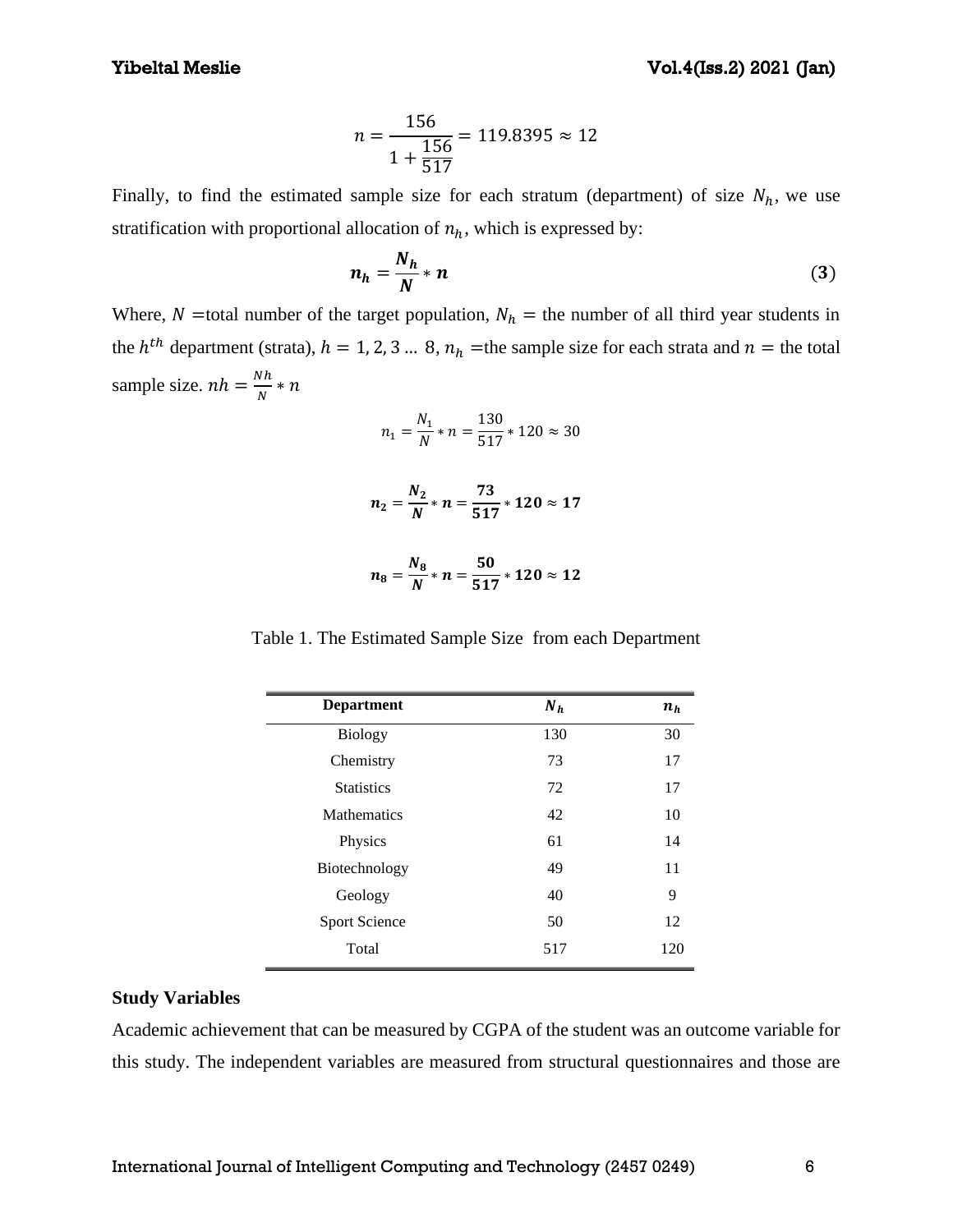$$
n = \frac{156}{1 + \frac{156}{517}} = 119.8395 \approx 12
$$

Finally, to find the estimated sample size for each stratum (department) of size  $N_h$ , we use stratification with proportional allocation of  $n_h$ , which is expressed by:

$$
n_h = \frac{N_h}{N} * n \tag{3}
$$

Where, N = total number of the target population,  $N_h$  = the number of all third year students in the  $h^{th}$  department (strata),  $h = 1, 2, 3 ... 8$ ,  $n_h$  =the sample size for each strata and  $n =$  the total sample size.  $nh = \frac{Nh}{N}$  $\frac{VH}{N} * n$ 

$$
n_1 = \frac{N_1}{N} * n = \frac{130}{517} * 120 \approx 30
$$

$$
n_2=\frac{N_2}{N}*n=\frac{73}{517}*120\approx 17
$$

$$
n_8=\frac{N_8}{N}*n=\frac{50}{517}*120\approx 12
$$

Table 1. The Estimated Sample Size from each Department

| <b>Department</b>  | $N_h$ | $n_h$ |
|--------------------|-------|-------|
| <b>Biology</b>     | 130   | 30    |
| Chemistry          | 73    | 17    |
| <b>Statistics</b>  | 72    | 17    |
| <b>Mathematics</b> | 42    | 10    |
| Physics            | 61    | 14    |
| Biotechnology      | 49    | 11    |
| Geology            | 40    | 9     |
| Sport Science      | 50    | 12    |
| Total              | 517   | 120   |

#### **Study Variables**

Academic achievement that can be measured by CGPA of the student was an outcome variable for this study. The independent variables are measured from structural questionnaires and those are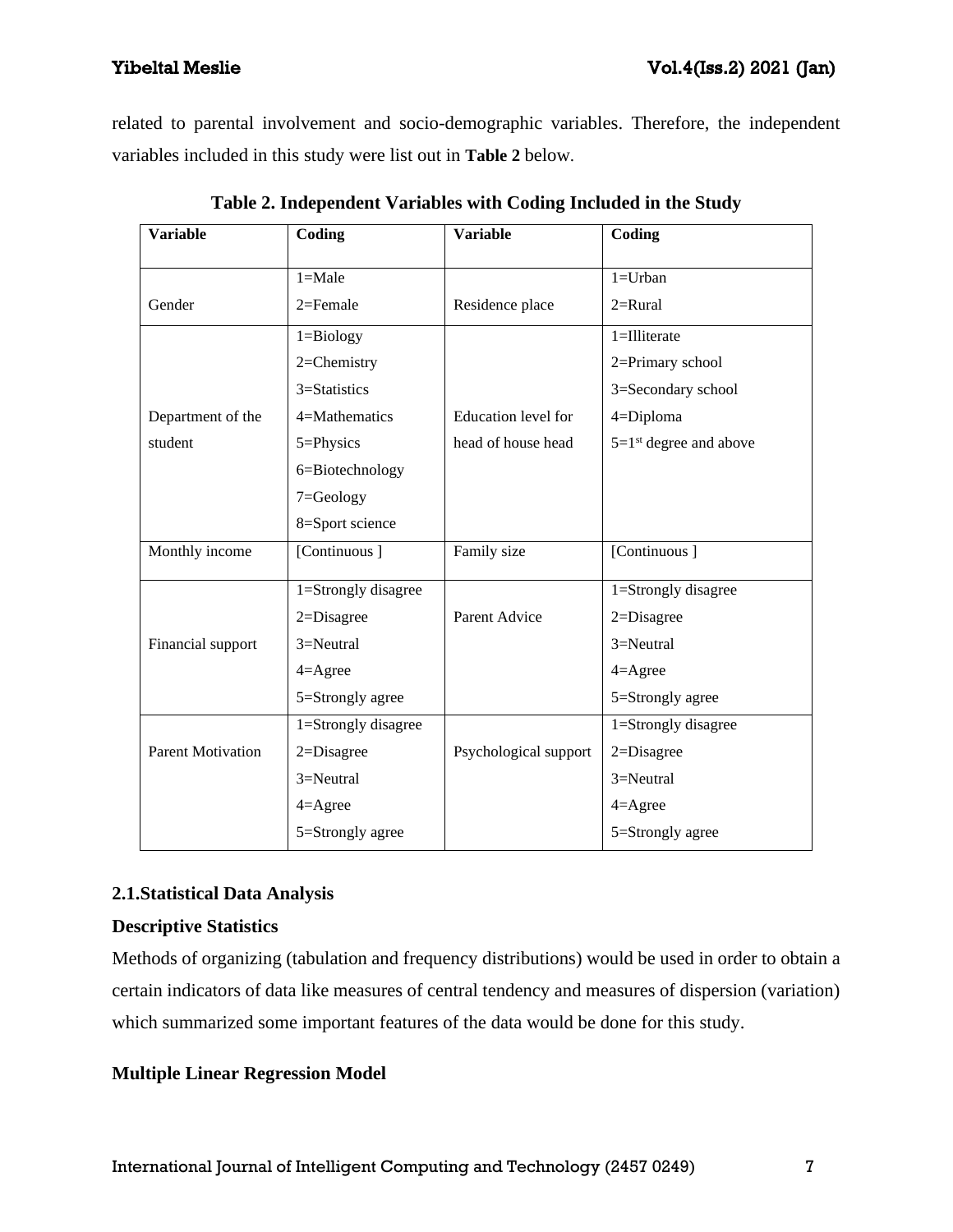related to parental involvement and socio-demographic variables. Therefore, the independent variables included in this study were list out in **Table 2** below.

| <b>Variable</b>          | Coding              | <b>Variable</b>       | Coding                               |
|--------------------------|---------------------|-----------------------|--------------------------------------|
|                          | $1 = Male$          |                       | $1 = Urban$                          |
|                          |                     |                       |                                      |
| Gender                   | $2 =$ Female        | Residence place       | $2=$ Rural                           |
|                          | $1 = Biology$       |                       | 1=Illiterate                         |
|                          | 2=Chemistry         |                       | 2=Primary school                     |
|                          | 3=Statistics        |                       | 3=Secondary school                   |
| Department of the        | 4=Mathematics       | Education level for   | 4=Diploma                            |
| student                  | 5=Physics           | head of house head    | $5=1$ <sup>st</sup> degree and above |
|                          | 6=Biotechnology     |                       |                                      |
|                          | 7=Geology           |                       |                                      |
|                          | 8=Sport science     |                       |                                      |
| Monthly income           | [Continuous]        | Family size           | [Continuous]                         |
|                          |                     |                       |                                      |
|                          | 1=Strongly disagree |                       | 1=Strongly disagree                  |
|                          | $2 = Disagree$      | Parent Advice         | $2 = Disagree$                       |
| Financial support        | 3=Neutral           |                       | 3=Neutral                            |
|                          | $4 =$ Agree         |                       | $4 =$ Agree                          |
|                          | 5=Strongly agree    |                       | 5=Strongly agree                     |
|                          | 1=Strongly disagree |                       | 1=Strongly disagree                  |
| <b>Parent Motivation</b> | 2=Disagree          | Psychological support | 2=Disagree                           |
|                          | 3=Neutral           |                       | 3=Neutral                            |
|                          | $4 = \text{Agree}$  |                       | $4 =$ Agree                          |
|                          | 5=Strongly agree    |                       | 5=Strongly agree                     |

**Table 2. Independent Variables with Coding Included in the Study**

# **2.1.Statistical Data Analysis**

## **Descriptive Statistics**

Methods of organizing (tabulation and frequency distributions) would be used in order to obtain a certain indicators of data like measures of central tendency and measures of dispersion (variation) which summarized some important features of the data would be done for this study.

## **Multiple Linear Regression Model**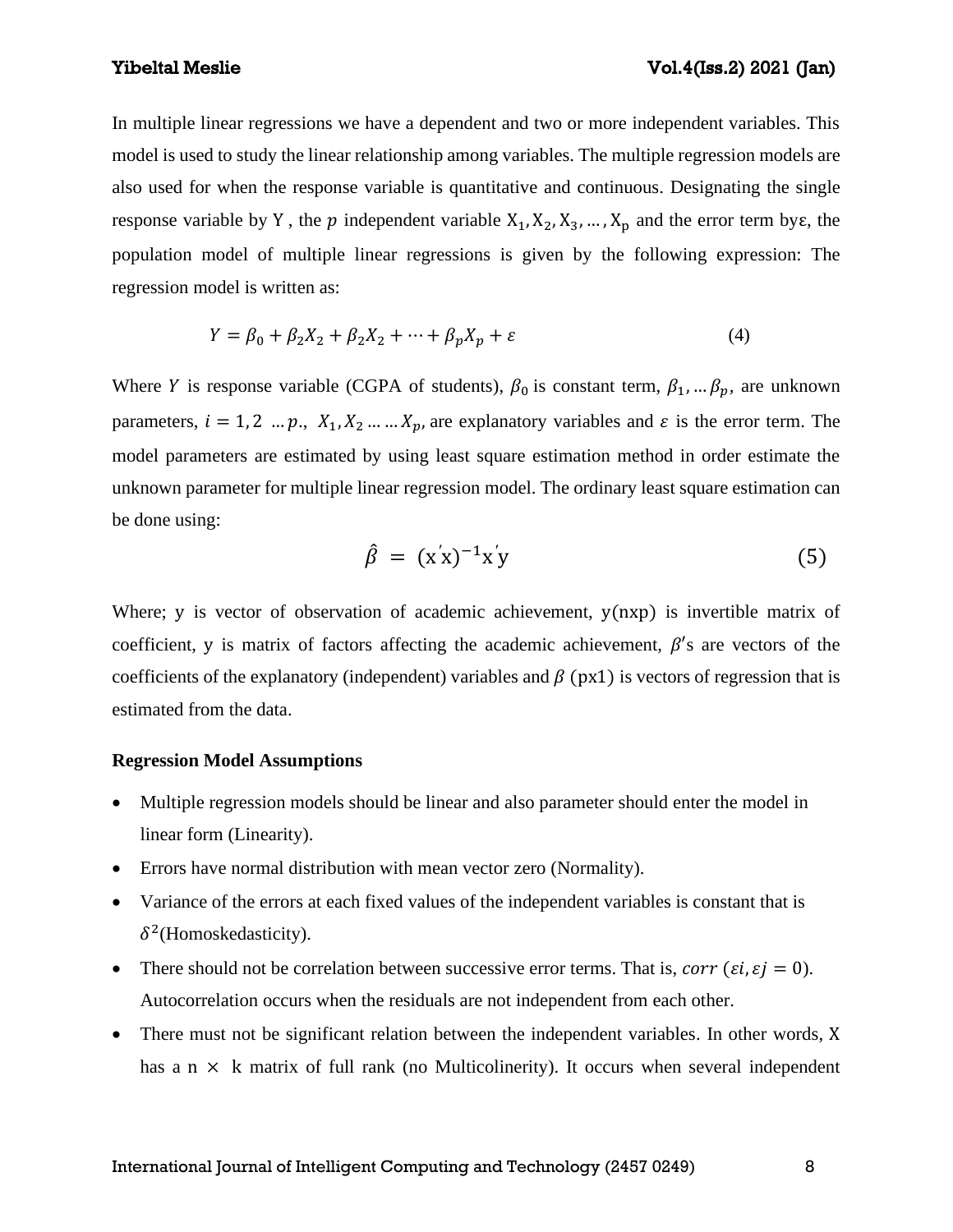In multiple linear regressions we have a dependent and two or more independent variables. This model is used to study the linear relationship among variables. The multiple regression models are also used for when the response variable is quantitative and continuous. Designating the single response variable by Y, the  $p$  independent variable  $X_1, X_2, X_3, \ldots, X_p$  and the error term bys, the population model of multiple linear regressions is given by the following expression: The regression model is written as:

$$
Y = \beta_0 + \beta_2 X_2 + \beta_2 X_2 + \dots + \beta_p X_p + \varepsilon \tag{4}
$$

Where *Y* is response variable (CGPA of students),  $\beta_0$  is constant term,  $\beta_1, \dots, \beta_p$ , are unknown parameters,  $i = 1, 2, ..., p, X_1, X_2, ..., X_p$ , are explanatory variables and  $\varepsilon$  is the error term. The model parameters are estimated by using least square estimation method in order estimate the unknown parameter for multiple linear regression model. The ordinary least square estimation can be done using:

$$
\hat{\beta} = (x'x)^{-1}x'y \tag{5}
$$

Where; y is vector of observation of academic achievement,  $y(nxp)$  is invertible matrix of coefficient, y is matrix of factors affecting the academic achievement,  $\beta$ 's are vectors of the coefficients of the explanatory (independent) variables and  $\beta$  (px1) is vectors of regression that is estimated from the data.

#### **Regression Model Assumptions**

- Multiple regression models should be linear and also parameter should enter the model in linear form (Linearity).
- Errors have normal distribution with mean vector zero (Normality).
- Variance of the errors at each fixed values of the independent variables is constant that is  $\delta^2$ (Homoskedasticity).
- There should not be correlation between successive error terms. That is,  $corr (ei, ej = 0)$ . Autocorrelation occurs when the residuals are not independent from each other.
- There must not be significant relation between the independent variables. In other words, X has a  $n \times k$  matrix of full rank (no Multicolinerity). It occurs when several independent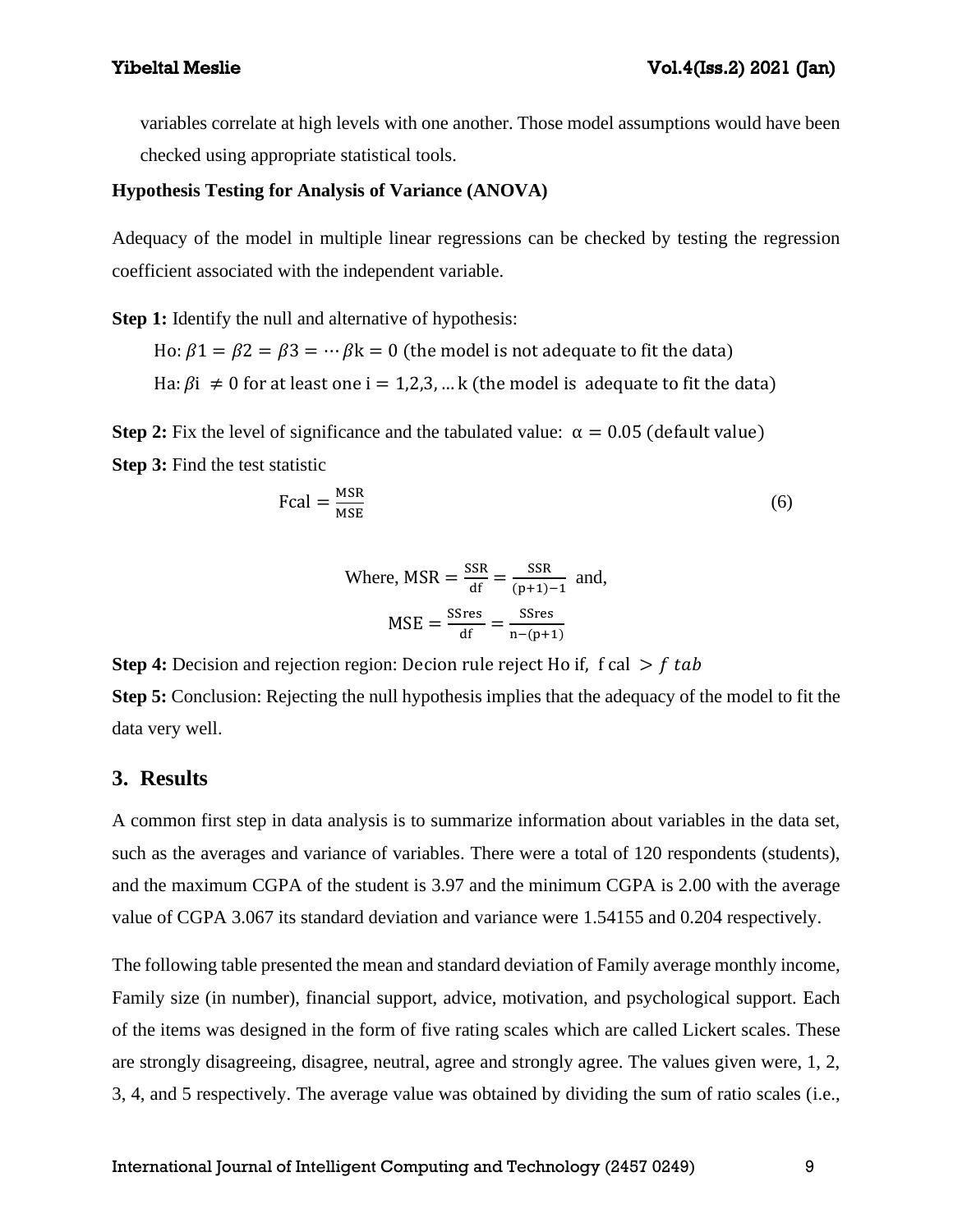variables correlate at high levels with one another. Those model assumptions would have been checked using appropriate statistical tools.

### **Hypothesis Testing for Analysis of Variance (ANOVA)**

Adequacy of the model in multiple linear regressions can be checked by testing the regression coefficient associated with the independent variable.

**Step 1:** Identify the null and alternative of hypothesis:

Ho:  $\beta$ 1 =  $\beta$ 2 =  $\beta$ 3 =  $\cdots$   $\beta$ k = 0 (the model is not adequate to fit the data)

Ha:  $\beta i \neq 0$  for at least one  $i = 1,2,3,...$  k (the model is adequate to fit the data)

**Step 2:** Fix the level of significance and the tabulated value:  $\alpha = 0.05$  (default value) **Step 3:** Find the test statistic

$$
Fcal = \frac{MSR}{MSE}
$$
 (6)

Where, 
$$
MSR = \frac{SSR}{df} = \frac{SSR}{(p+1)-1}
$$
 and,  $MSE = \frac{SSres}{df} = \frac{SSres}{n-(p+1)}$ 

**Step 4:** Decision and rejection region: Decion rule reject Ho if, f cal  $\gt$  f tab **Step 5:** Conclusion: Rejecting the null hypothesis implies that the adequacy of the model to fit the data very well.

## **3. Results**

A common first step in data analysis is to summarize information about variables in the data set, such as the averages and variance of variables. There were a total of 120 respondents (students), and the maximum CGPA of the student is 3.97 and the minimum CGPA is 2.00 with the average value of CGPA 3.067 its standard deviation and variance were 1.54155 and 0.204 respectively.

The following table presented the mean and standard deviation of Family average monthly income, Family size (in number), financial support, advice, motivation, and psychological support. Each of the items was designed in the form of five rating scales which are called Lickert scales. These are strongly disagreeing, disagree, neutral, agree and strongly agree. The values given were, 1, 2, 3, 4, and 5 respectively. The average value was obtained by dividing the sum of ratio scales (i.e.,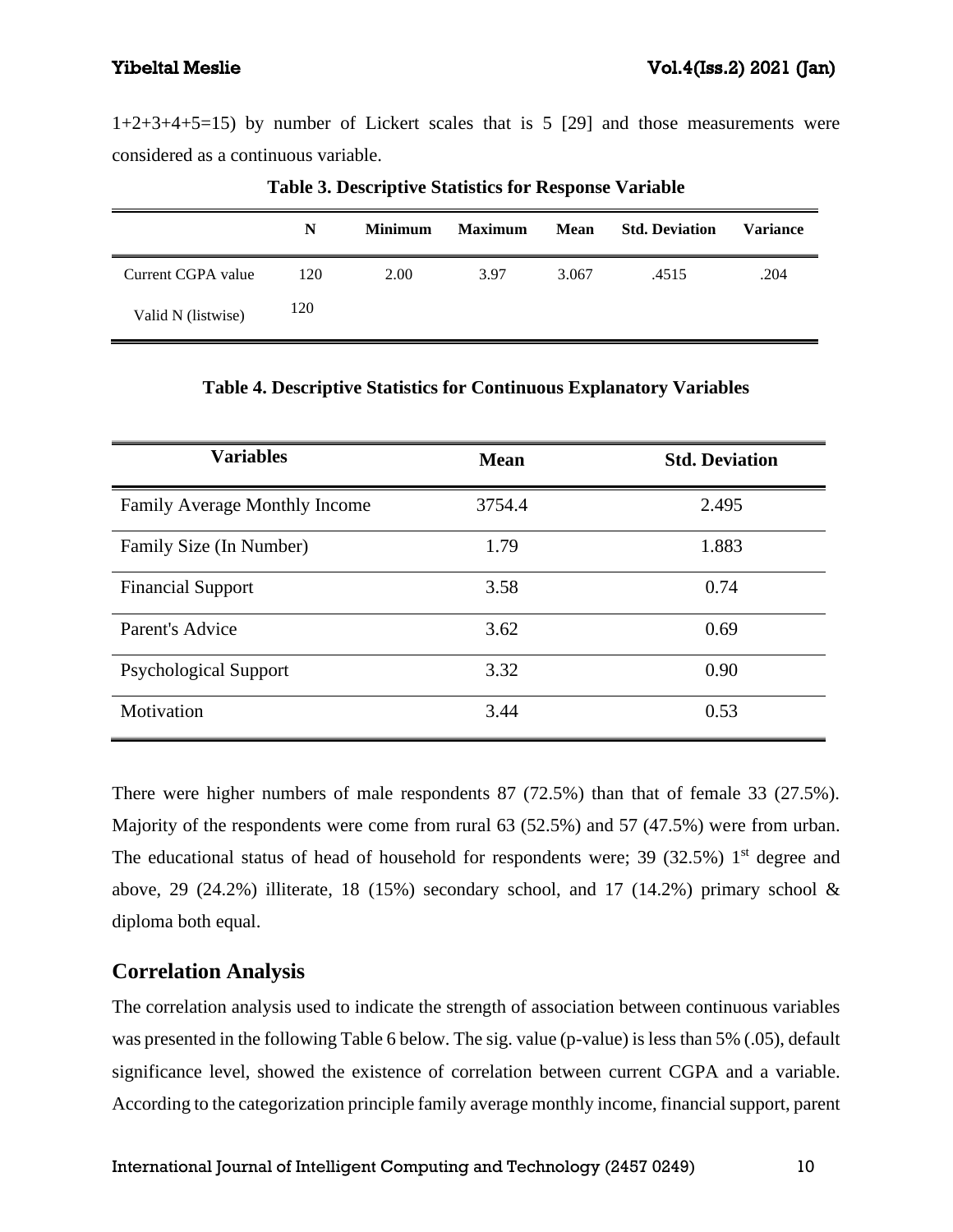1+2+3+4+5=15) by number of Lickert scales that is 5 [29] and those measurements were considered as a continuous variable.

|                    | N   | <b>Minimum</b> | <b>Maximum</b> | Mean  | <b>Std. Deviation</b> | <b>Variance</b> |
|--------------------|-----|----------------|----------------|-------|-----------------------|-----------------|
| Current CGPA value | 120 | 2.00           | 3.97           | 3.067 | .4515                 | .204            |
| Valid N (listwise) | 120 |                |                |       |                       |                 |

**Table 3. Descriptive Statistics for Response Variable**

| Table 4. Descriptive Statistics for Continuous Explanatory Variables |  |  |  |  |
|----------------------------------------------------------------------|--|--|--|--|
|----------------------------------------------------------------------|--|--|--|--|

| <b>Variables</b>              | <b>Mean</b> | <b>Std. Deviation</b> |
|-------------------------------|-------------|-----------------------|
| Family Average Monthly Income | 3754.4      | 2.495                 |
| Family Size (In Number)       | 1.79        | 1.883                 |
| <b>Financial Support</b>      | 3.58        | 0.74                  |
| Parent's Advice               | 3.62        | 0.69                  |
| <b>Psychological Support</b>  | 3.32        | 0.90                  |
| Motivation                    | 3.44        | 0.53                  |

There were higher numbers of male respondents 87 (72.5%) than that of female 33 (27.5%). Majority of the respondents were come from rural 63 (52.5%) and 57 (47.5%) were from urban. The educational status of head of household for respondents were; 39 (32.5%)  $1<sup>st</sup>$  degree and above, 29 (24.2%) illiterate, 18 (15%) secondary school, and 17 (14.2%) primary school  $\&$ diploma both equal.

# **Correlation Analysis**

The correlation analysis used to indicate the strength of association between continuous variables was presented in the following Table 6 below. The sig. value (p-value) is less than 5% (.05), default significance level, showed the existence of correlation between current CGPA and a variable. According to the categorization principle family average monthly income, financial support, parent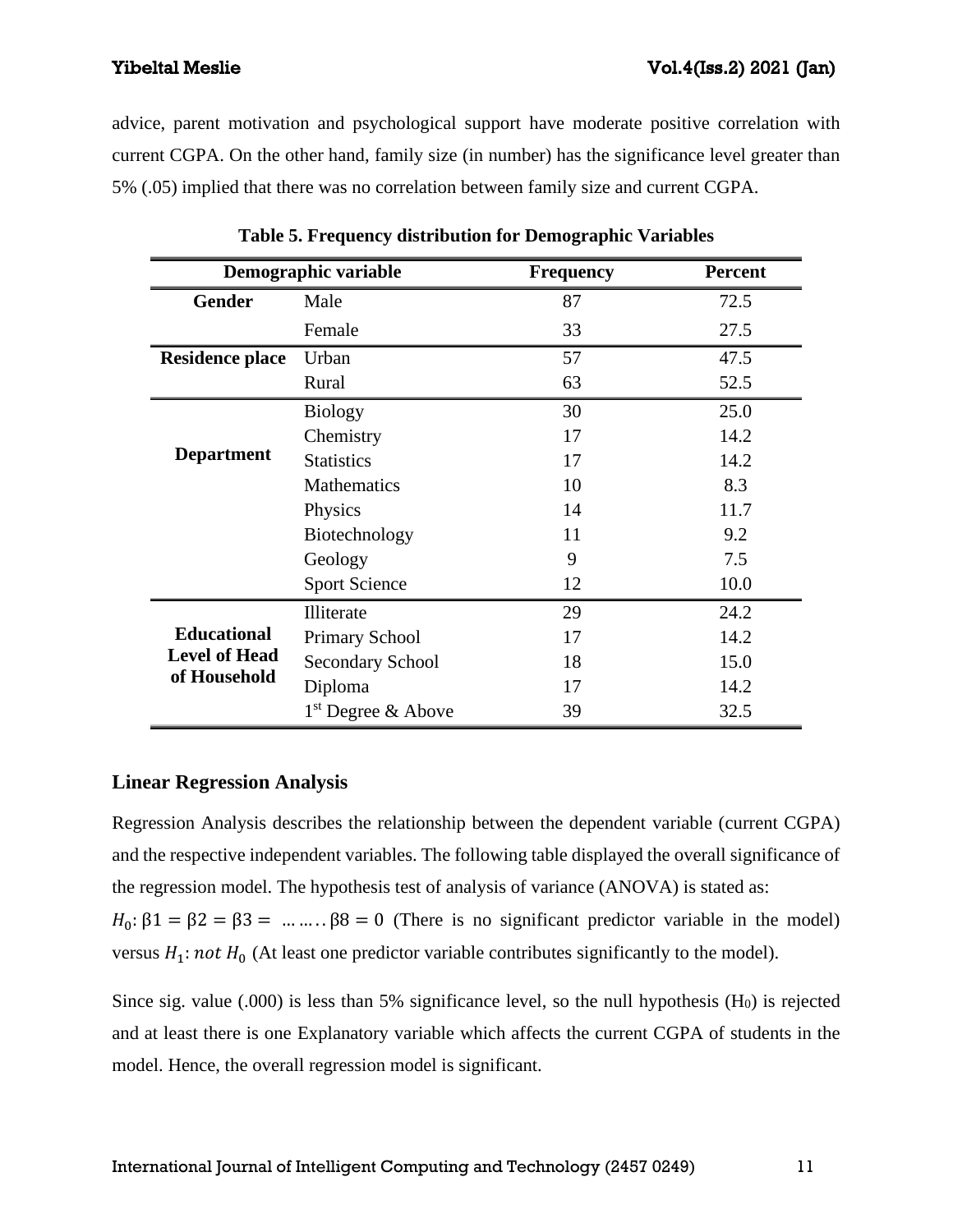advice, parent motivation and psychological support have moderate positive correlation with current CGPA. On the other hand, family size (in number) has the significance level greater than 5% (.05) implied that there was no correlation between family size and current CGPA.

|                                      | Demographic variable    | <b>Frequency</b> | <b>Percent</b> |
|--------------------------------------|-------------------------|------------------|----------------|
| <b>Gender</b>                        | Male                    | 87               | 72.5           |
|                                      | Female                  | 33               | 27.5           |
| <b>Residence place</b>               | Urban                   | 57               | 47.5           |
|                                      | Rural                   | 63               | 52.5           |
|                                      | <b>Biology</b>          | 30               | 25.0           |
|                                      | Chemistry               | 17               | 14.2           |
| <b>Department</b>                    | <b>Statistics</b>       | 17               | 14.2           |
|                                      | <b>Mathematics</b>      | 10               | 8.3            |
|                                      | Physics                 | 14               | 11.7           |
|                                      | Biotechnology           | 11               | 9.2            |
|                                      | Geology                 | 9                | 7.5            |
|                                      | <b>Sport Science</b>    | 12               | 10.0           |
|                                      | Illiterate              | 29               | 24.2           |
| <b>Educational</b>                   | Primary School          | 17               | 14.2           |
| <b>Level of Head</b><br>of Household | <b>Secondary School</b> | 18               | 15.0           |
|                                      | Diploma                 | 17               | 14.2           |
|                                      | $1st$ Degree & Above    | 39               | 32.5           |

**Table 5. Frequency distribution for Demographic Variables**

# **Linear Regression Analysis**

Regression Analysis describes the relationship between the dependent variable (current CGPA) and the respective independent variables. The following table displayed the overall significance of the regression model. The hypothesis test of analysis of variance (ANOVA) is stated as:  $H_0: \beta_1 = \beta_2 = \beta_3 = \dots = \beta_8 = 0$  (There is no significant predictor variable in the model) versus  $H_1$ : not  $H_0$  (At least one predictor variable contributes significantly to the model).

Since sig. value  $(.000)$  is less than 5% significance level, so the null hypothesis  $(H<sub>0</sub>)$  is rejected and at least there is one Explanatory variable which affects the current CGPA of students in the model. Hence, the overall regression model is significant.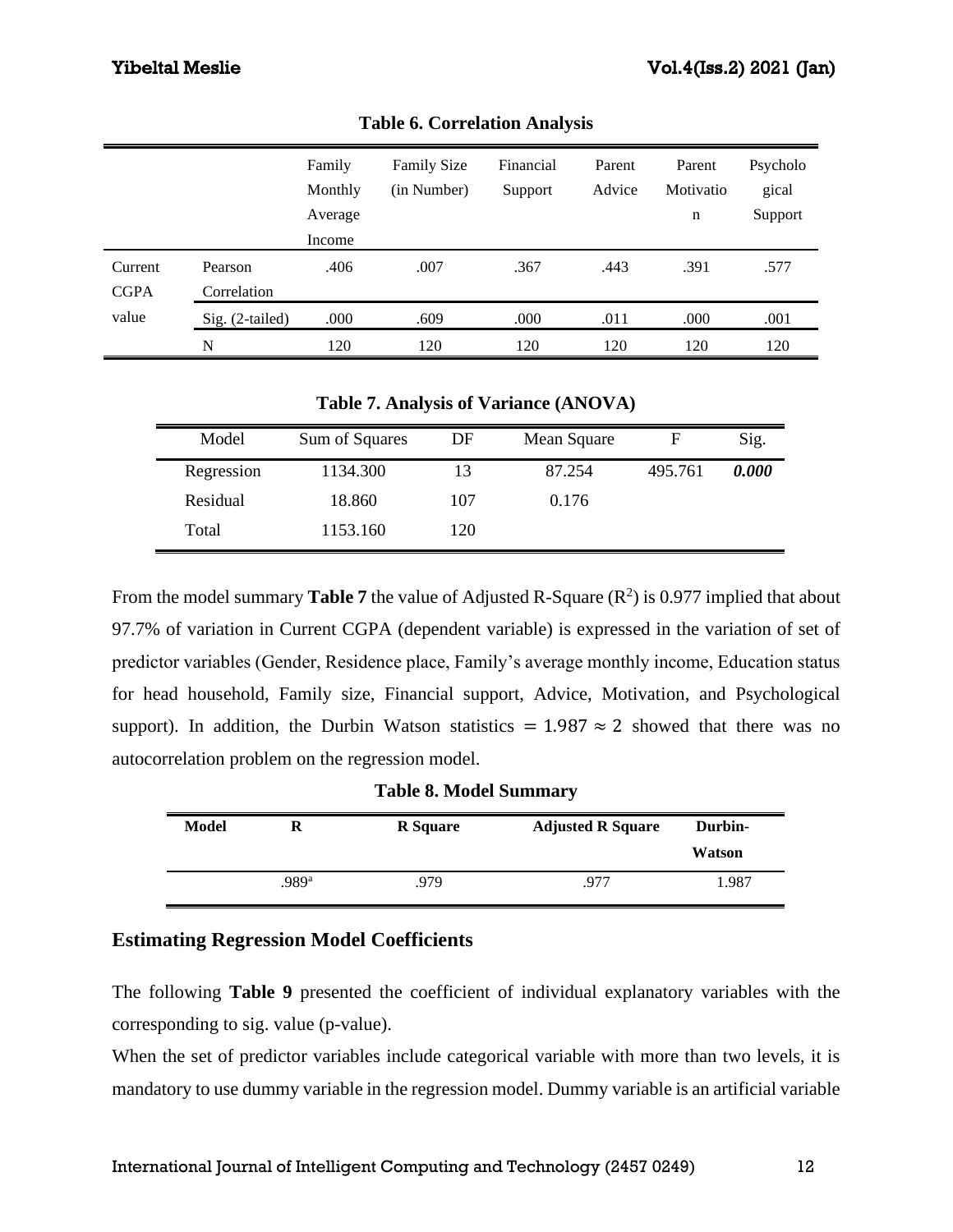|             |                 | Family  | <b>Family Size</b> | Financial | Parent | Parent    | Psycholo |
|-------------|-----------------|---------|--------------------|-----------|--------|-----------|----------|
|             |                 | Monthly | (in Number)        | Support   | Advice | Motivatio | gical    |
|             |                 | Average |                    |           |        | n         | Support  |
|             |                 | Income  |                    |           |        |           |          |
| Current     | Pearson         | .406    | .007               | .367      | .443   | .391      | .577     |
| <b>CGPA</b> | Correlation     |         |                    |           |        |           |          |
| value       | Sig. (2-tailed) | .000    | .609               | .000      | .011   | .000      | .001     |
|             | N               | 120     | 120                | 120       | 120    | 120       | 120      |

**Table 6. Correlation Analysis**

**Table 7. Analysis of Variance (ANOVA)**

| Model      | Sum of Squares | DF  | Mean Square |         | Sig.  |
|------------|----------------|-----|-------------|---------|-------|
| Regression | 1134.300       | 13  | 87.254      | 495.761 | 0.000 |
| Residual   | 18.860         | 107 | 0.176       |         |       |
| Total      | 1153.160       | 120 |             |         |       |

From the model summary **Table 7** the value of Adjusted R-Square  $(R^2)$  is 0.977 implied that about 97.7% of variation in Current CGPA (dependent variable) is expressed in the variation of set of predictor variables (Gender, Residence place, Family's average monthly income, Education status for head household, Family size, Financial support, Advice, Motivation, and Psychological support). In addition, the Durbin Watson statistics =  $1.987 \approx 2$  showed that there was no autocorrelation problem on the regression model.

|       | <b>Table 8. Model Summary</b> |                 |                          |         |  |  |  |  |
|-------|-------------------------------|-----------------|--------------------------|---------|--|--|--|--|
| Model | R                             | <b>R</b> Square | <b>Adjusted R Square</b> | Durbin- |  |  |  |  |
|       |                               |                 |                          | Watson  |  |  |  |  |
|       | .989ª                         | .979            | .977                     | 1.987   |  |  |  |  |

# **Estimating Regression Model Coefficients**

The following **Table 9** presented the coefficient of individual explanatory variables with the corresponding to sig. value (p-value).

When the set of predictor variables include categorical variable with more than two levels, it is mandatory to use dummy variable in the regression model. Dummy variable is an artificial variable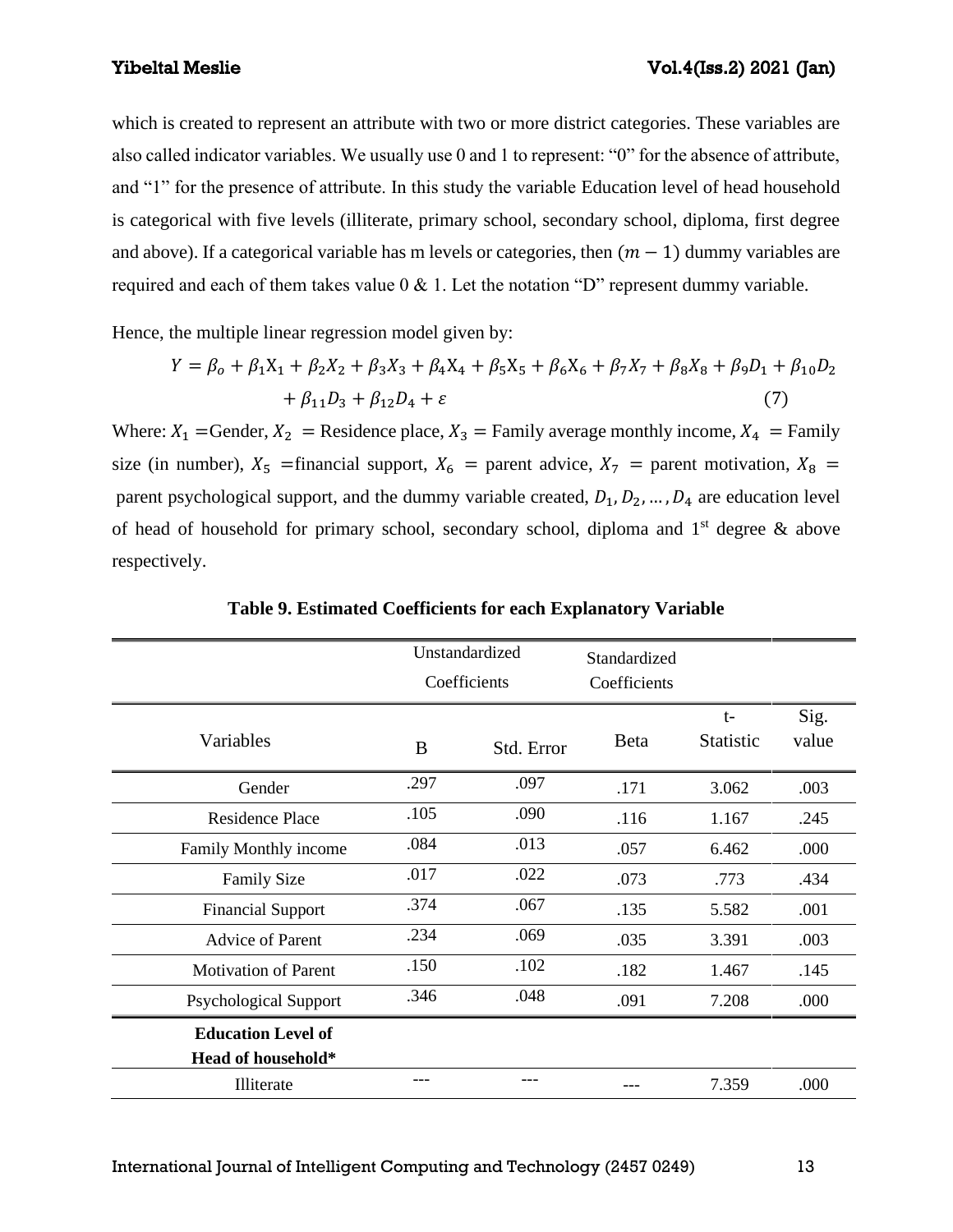which is created to represent an attribute with two or more district categories. These variables are also called indicator variables. We usually use 0 and 1 to represent: "0" for the absence of attribute, and "1" for the presence of attribute. In this study the variable Education level of head household is categorical with five levels (illiterate, primary school, secondary school, diploma, first degree and above). If a categorical variable has m levels or categories, then  $(m - 1)$  dummy variables are required and each of them takes value  $0 < 1$ . Let the notation "D" represent dummy variable.

Hence, the multiple linear regression model given by:

$$
Y = \beta_o + \beta_1 X_1 + \beta_2 X_2 + \beta_3 X_3 + \beta_4 X_4 + \beta_5 X_5 + \beta_6 X_6 + \beta_7 X_7 + \beta_8 X_8 + \beta_9 D_1 + \beta_{10} D_2
$$
  
+  $\beta_{11} D_3 + \beta_{12} D_4 + \varepsilon$  (7)

Where:  $X_1$  =Gender,  $X_2$  = Residence place,  $X_3$  = Family average monthly income,  $X_4$  = Family size (in number),  $X_5$  =financial support,  $X_6$  = parent advice,  $X_7$  = parent motivation,  $X_8$  = parent psychological support, and the dummy variable created,  $D_1, D_2, \ldots, D_4$  are education level of head of household for primary school, secondary school, diploma and  $1<sup>st</sup>$  degree & above respectively.

|                              | Unstandardized<br>Coefficients |            | Standardized<br>Coefficients |                          |               |
|------------------------------|--------------------------------|------------|------------------------------|--------------------------|---------------|
| Variables                    | B                              | Std. Error | <b>B</b> eta                 | $t-$<br><b>Statistic</b> | Sig.<br>value |
| Gender                       | .297                           | .097       | .171                         | 3.062                    | .003          |
| Residence Place              | .105                           | .090       | .116                         | 1.167                    | .245          |
| Family Monthly income        | .084                           | .013       | .057                         | 6.462                    | .000          |
| <b>Family Size</b>           | .017                           | .022       | .073                         | .773                     | .434          |
| <b>Financial Support</b>     | .374                           | .067       | .135                         | 5.582                    | .001          |
| <b>Advice of Parent</b>      | .234                           | .069       | .035                         | 3.391                    | .003          |
| <b>Motivation of Parent</b>  | .150                           | .102       | .182                         | 1.467                    | .145          |
| <b>Psychological Support</b> | .346                           | .048       | .091                         | 7.208                    | .000          |
| <b>Education Level of</b>    |                                |            |                              |                          |               |
| Head of household*           |                                |            |                              |                          |               |
| Illiterate                   |                                |            |                              | 7.359                    | .000          |

**Table 9. Estimated Coefficients for each Explanatory Variable**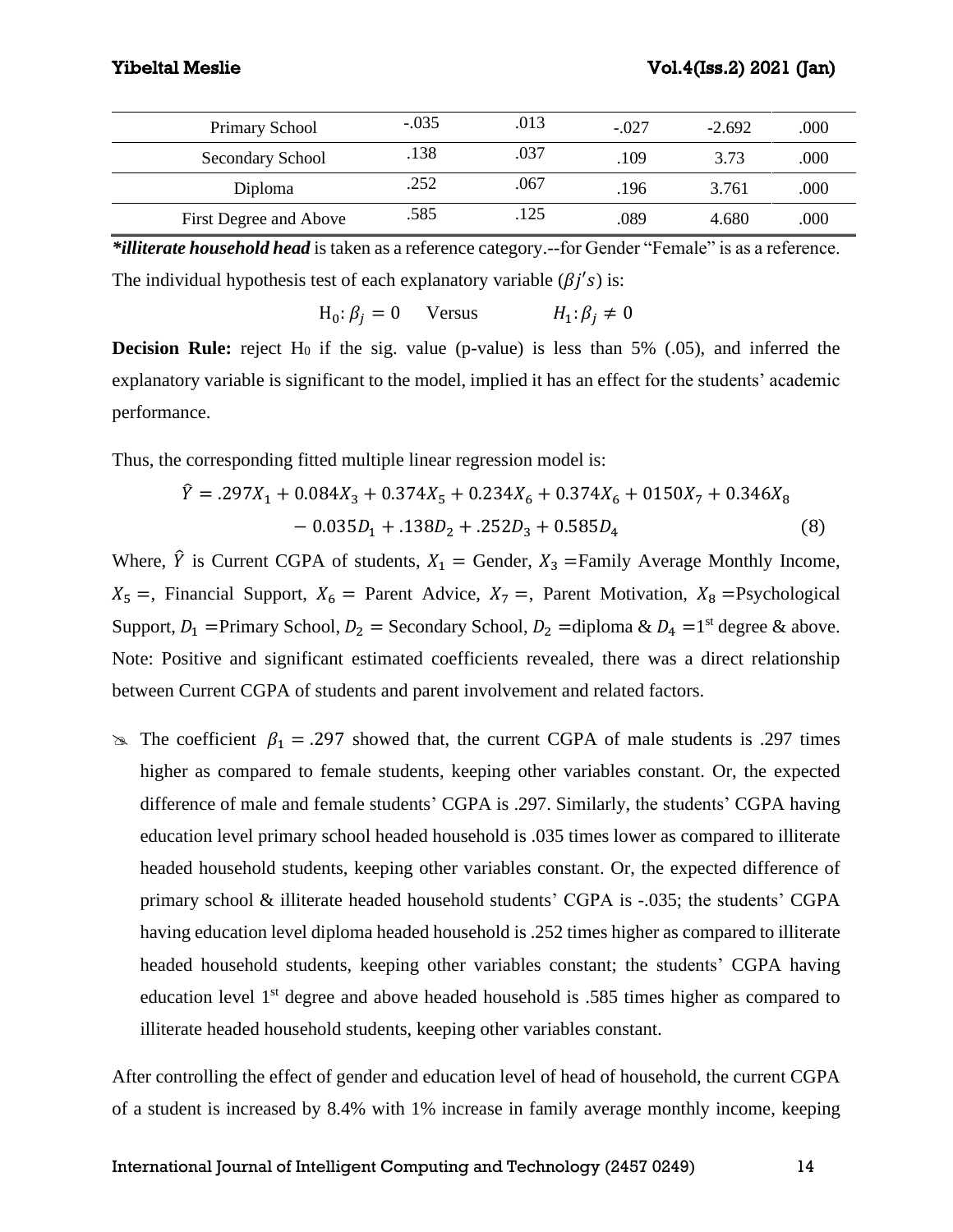| Primary School         | $-.035$ | .013 | $-.027$ | $-2.692$ | .000 |
|------------------------|---------|------|---------|----------|------|
| Secondary School       | .138    | .037 | .109    | 3.73     | .000 |
| Diploma                | .252    | .067 | .196    | 3.761    | .000 |
| First Degree and Above | .585    | .125 | .089    | 4.680    | .000 |

*\*illiterate household head* is taken as a reference category.--for Gender "Female" is as a reference. The individual hypothesis test of each explanatory variable  $(\beta j's)$  is:

$$
H_0: \beta_j = 0 \quad \text{Versus} \quad H_1: \beta_j \neq 0
$$

**Decision Rule:** reject  $H_0$  if the sig. value (p-value) is less than 5% (.05), and inferred the explanatory variable is significant to the model, implied it has an effect for the students' academic performance.

Thus, the corresponding fitted multiple linear regression model is:

$$
\hat{Y} = .297X_1 + 0.084X_3 + 0.374X_5 + 0.234X_6 + 0.374X_6 + 0150X_7 + 0.346X_8 - 0.035D_1 + .138D_2 + .252D_3 + 0.585D_4
$$
\n(8)

Where,  $\hat{Y}$  is Current CGPA of students,  $X_1$  = Gender,  $X_3$  = Family Average Monthly Income,  $X_5 =$ , Financial Support,  $X_6 =$  Parent Advice,  $X_7 =$ , Parent Motivation,  $X_8 =$ Psychological Support,  $D_1$  =Primary School,  $D_2$  = Secondary School,  $D_2$  =diploma &  $D_4$  =1<sup>st</sup> degree & above. Note: Positive and significant estimated coefficients revealed, there was a direct relationship between Current CGPA of students and parent involvement and related factors.

 $\infty$  The coefficient  $\beta_1 = .297$  showed that, the current CGPA of male students is .297 times higher as compared to female students, keeping other variables constant. Or, the expected difference of male and female students' CGPA is .297. Similarly, the students' CGPA having education level primary school headed household is .035 times lower as compared to illiterate headed household students, keeping other variables constant. Or, the expected difference of primary school & illiterate headed household students' CGPA is -.035; the students' CGPA having education level diploma headed household is .252 times higher as compared to illiterate headed household students, keeping other variables constant; the students' CGPA having education level 1<sup>st</sup> degree and above headed household is .585 times higher as compared to illiterate headed household students, keeping other variables constant.

After controlling the effect of gender and education level of head of household, the current CGPA of a student is increased by 8.4% with 1% increase in family average monthly income, keeping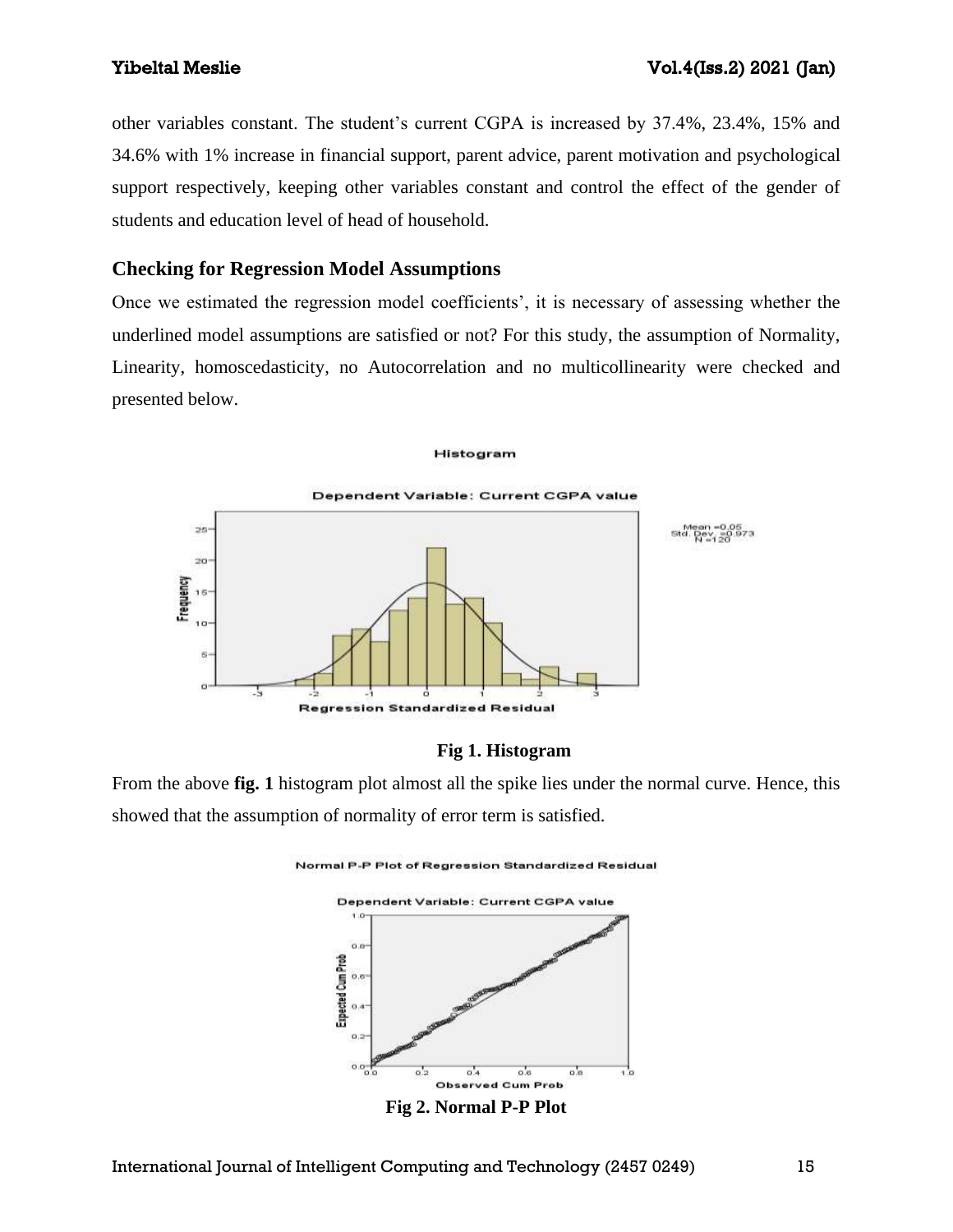other variables constant. The student's current CGPA is increased by 37.4%, 23.4%, 15% and 34.6% with 1% increase in financial support, parent advice, parent motivation and psychological support respectively, keeping other variables constant and control the effect of the gender of students and education level of head of household.

## **Checking for Regression Model Assumptions**

Once we estimated the regression model coefficients', it is necessary of assessing whether the underlined model assumptions are satisfied or not? For this study, the assumption of Normality, Linearity, homoscedasticity, no Autocorrelation and no multicollinearity were checked and presented below.

#### Histogram



### **Fig 1. Histogram**

From the above **fig. 1** histogram plot almost all the spike lies under the normal curve. Hence, this showed that the assumption of normality of error term is satisfied.

Normal P-P Plot of Regression Standardized Residual



**Fig 2. Normal P-P Plot**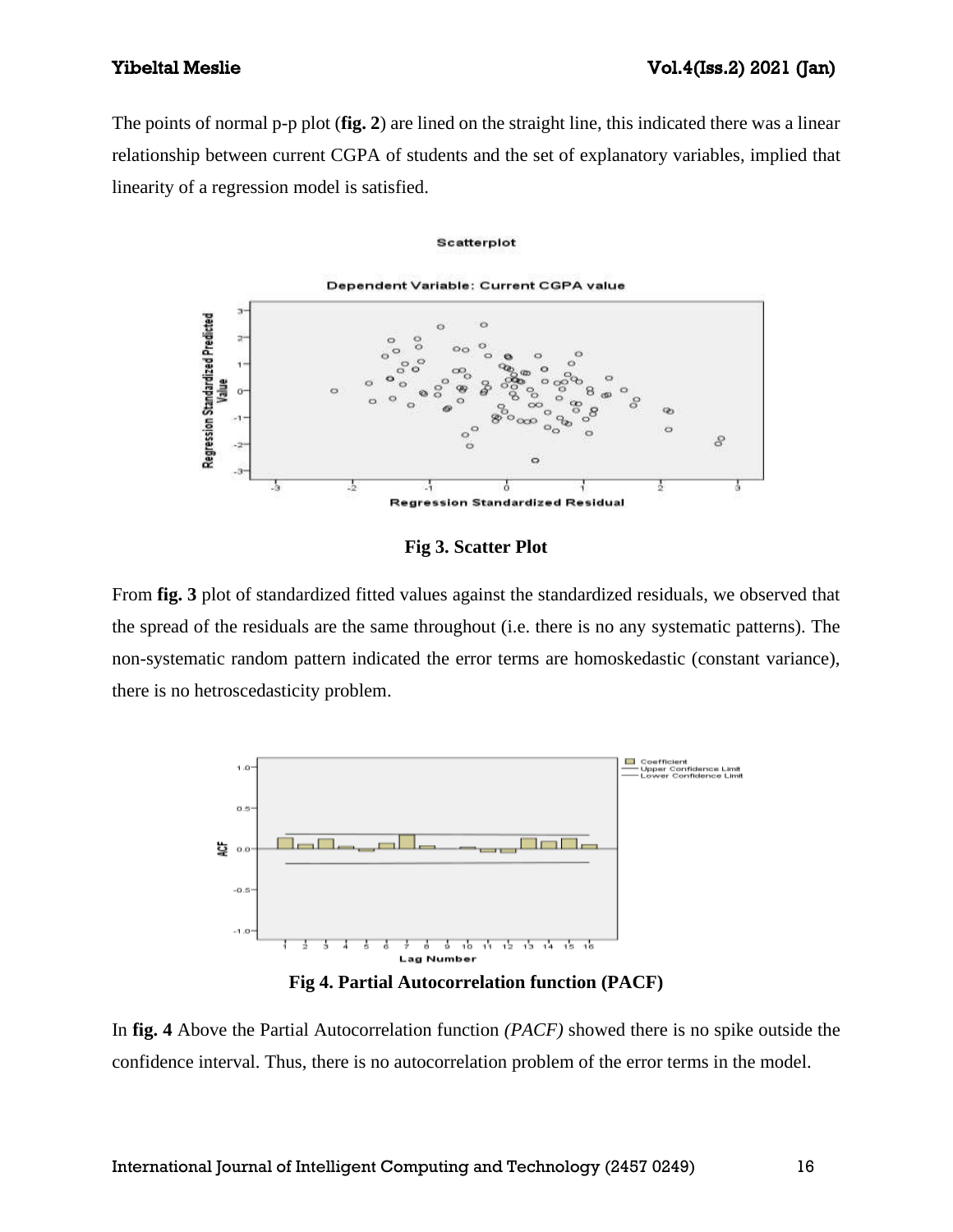The points of normal p-p plot (**fig. 2**) are lined on the straight line, this indicated there was a linear relationship between current CGPA of students and the set of explanatory variables, implied that linearity of a regression model is satisfied.

#### Scatterplot



**Fig 3. Scatter Plot**

From **fig. 3** plot of standardized fitted values against the standardized residuals, we observed that the spread of the residuals are the same throughout (i.e. there is no any systematic patterns). The non-systematic random pattern indicated the error terms are homoskedastic (constant variance), there is no hetroscedasticity problem.



**Fig 4. Partial Autocorrelation function (PACF)**

In **fig. 4** Above the Partial Autocorrelation function *(PACF)* showed there is no spike outside the confidence interval. Thus, there is no autocorrelation problem of the error terms in the model.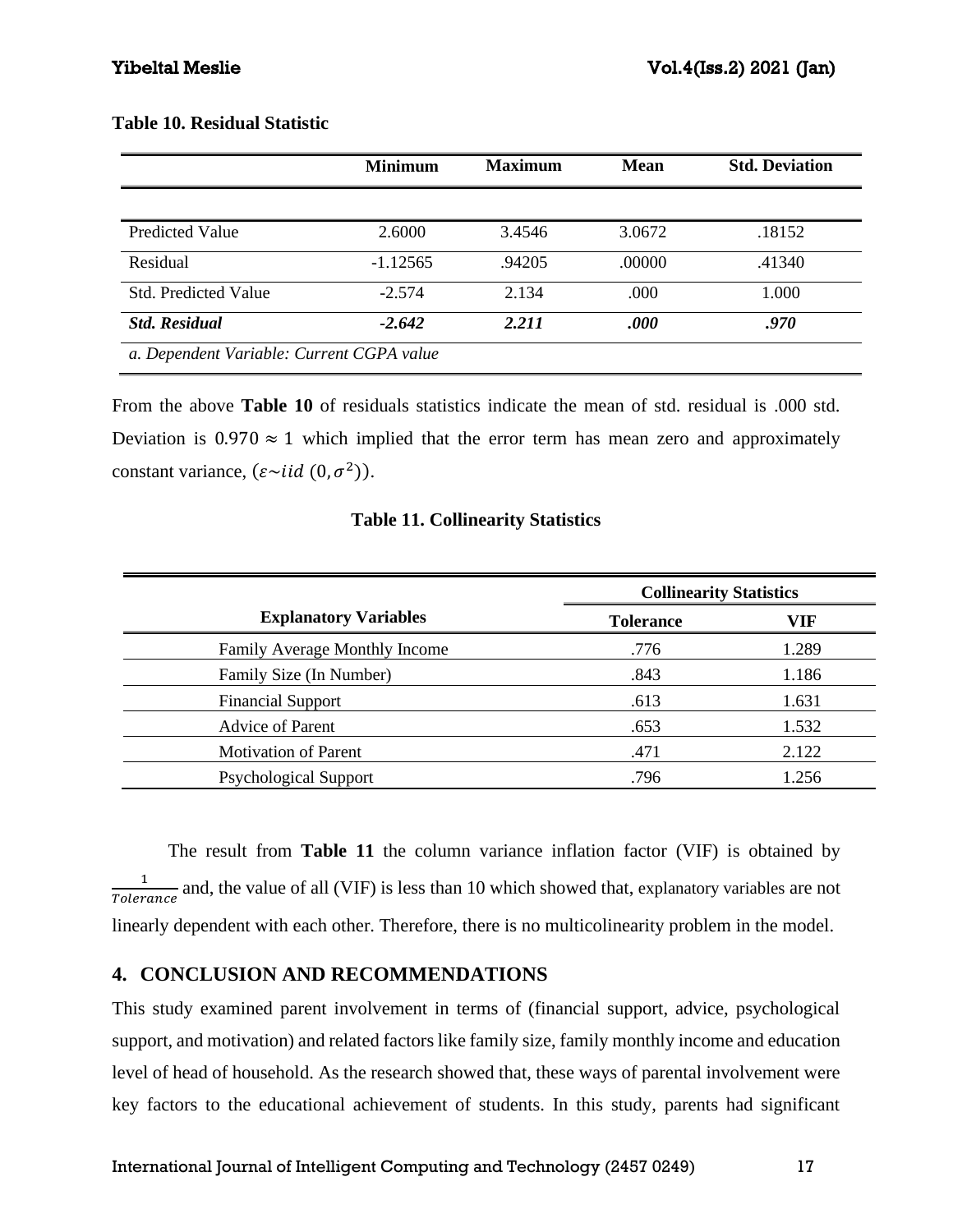### **Table 10. Residual Statistic**

|                                           | <b>Minimum</b> | <b>Maximum</b> | <b>Mean</b> | <b>Std. Deviation</b> |
|-------------------------------------------|----------------|----------------|-------------|-----------------------|
|                                           |                |                |             |                       |
| <b>Predicted Value</b>                    | 2.6000         | 3.4546         | 3.0672      | .18152                |
| Residual                                  | $-1.12565$     | .94205         | .00000      | .41340                |
| <b>Std. Predicted Value</b>               | $-2.574$       | 2.134          | .000        | 1.000                 |
| <b>Std. Residual</b>                      | $-2.642$       | 2.211          | .000        | .970                  |
| a. Dependent Variable: Current CGPA value |                |                |             |                       |

From the above **Table 10** of residuals statistics indicate the mean of std. residual is .000 std. Deviation is  $0.970 \approx 1$  which implied that the error term has mean zero and approximately constant variance,  $(\varepsilon \sim iid (0, \sigma^2))$ .

### **Table 11. Collinearity Statistics**

| <b>Explanatory Variables</b>         | <b>Collinearity Statistics</b> |       |
|--------------------------------------|--------------------------------|-------|
|                                      | <b>Tolerance</b>               | VIF   |
| <b>Family Average Monthly Income</b> | .776                           | 1.289 |
| Family Size (In Number)              | .843                           | 1.186 |
| <b>Financial Support</b>             | .613                           | 1.631 |
| <b>Advice of Parent</b>              | .653                           | 1.532 |
| <b>Motivation of Parent</b>          | .471                           | 2.122 |
| <b>Psychological Support</b>         | .796                           | 1.256 |

The result from **Table 11** the column variance inflation factor (VIF) is obtained by 1  $\frac{1}{Tolerance}$  and, the value of all (VIF) is less than 10 which showed that, explanatory variables are not linearly dependent with each other. Therefore, there is no multicolinearity problem in the model.

# **4. CONCLUSION AND RECOMMENDATIONS**

This study examined parent involvement in terms of (financial support, advice, psychological support, and motivation) and related factors like family size, family monthly income and education level of head of household. As the research showed that, these ways of parental involvement were key factors to the educational achievement of students. In this study, parents had significant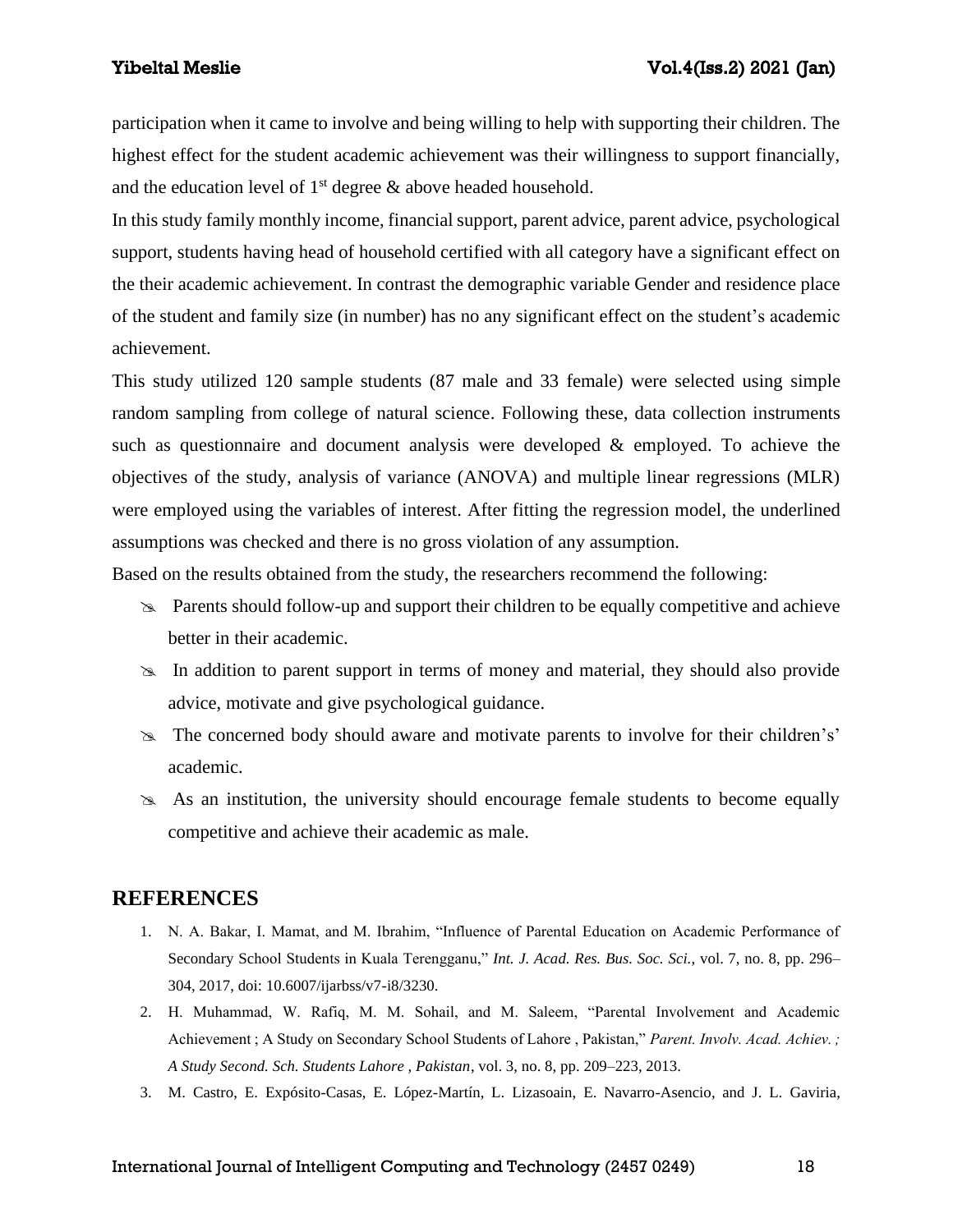participation when it came to involve and being willing to help with supporting their children. The highest effect for the student academic achievement was their willingness to support financially, and the education level of  $1<sup>st</sup>$  degree  $\&$  above headed household.

In this study family monthly income, financial support, parent advice, parent advice, psychological support, students having head of household certified with all category have a significant effect on the their academic achievement. In contrast the demographic variable Gender and residence place of the student and family size (in number) has no any significant effect on the student's academic achievement.

This study utilized 120 sample students (87 male and 33 female) were selected using simple random sampling from college of natural science. Following these, data collection instruments such as questionnaire and document analysis were developed & employed. To achieve the objectives of the study, analysis of variance (ANOVA) and multiple linear regressions (MLR) were employed using the variables of interest. After fitting the regression model, the underlined assumptions was checked and there is no gross violation of any assumption.

Based on the results obtained from the study, the researchers recommend the following:

- Parents should follow-up and support their children to be equally competitive and achieve better in their academic.
- In addition to parent support in terms of money and material, they should also provide advice, motivate and give psychological guidance.
- $\approx$  The concerned body should aware and motivate parents to involve for their children's' academic.
- $\approx$  As an institution, the university should encourage female students to become equally competitive and achieve their academic as male.

## **REFERENCES**

- 1. N. A. Bakar, I. Mamat, and M. Ibrahim, "Influence of Parental Education on Academic Performance of Secondary School Students in Kuala Terengganu," *Int. J. Acad. Res. Bus. Soc. Sci.*, vol. 7, no. 8, pp. 296– 304, 2017, doi: 10.6007/ijarbss/v7-i8/3230.
- 2. H. Muhammad, W. Rafiq, M. M. Sohail, and M. Saleem, "Parental Involvement and Academic Achievement ; A Study on Secondary School Students of Lahore , Pakistan," *Parent. Involv. Acad. Achiev. ; A Study Second. Sch. Students Lahore , Pakistan*, vol. 3, no. 8, pp. 209–223, 2013.
- 3. M. Castro, E. Expósito-Casas, E. López-Martín, L. Lizasoain, E. Navarro-Asencio, and J. L. Gaviria,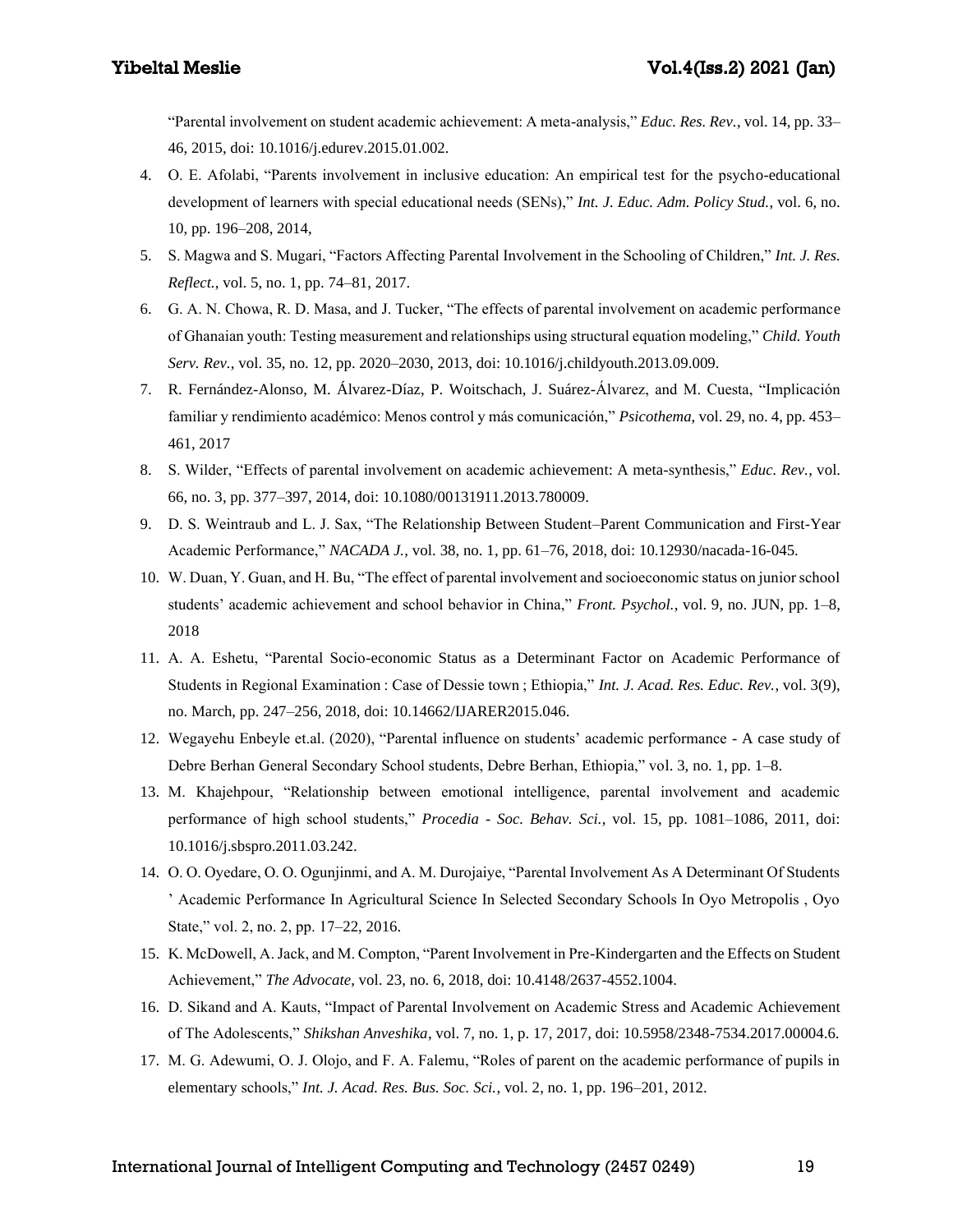"Parental involvement on student academic achievement: A meta-analysis," *Educ. Res. Rev.*, vol. 14, pp. 33– 46, 2015, doi: 10.1016/j.edurev.2015.01.002.

- 4. O. E. Afolabi, "Parents involvement in inclusive education: An empirical test for the psycho-educational development of learners with special educational needs (SENs)," *Int. J. Educ. Adm. Policy Stud.*, vol. 6, no. 10, pp. 196–208, 2014,
- 5. S. Magwa and S. Mugari, "Factors Affecting Parental Involvement in the Schooling of Children," *Int. J. Res. Reflect.*, vol. 5, no. 1, pp. 74–81, 2017.
- 6. G. A. N. Chowa, R. D. Masa, and J. Tucker, "The effects of parental involvement on academic performance of Ghanaian youth: Testing measurement and relationships using structural equation modeling," *Child. Youth Serv. Rev.*, vol. 35, no. 12, pp. 2020–2030, 2013, doi: 10.1016/j.childyouth.2013.09.009.
- 7. R. Fernández-Alonso, M. Álvarez-Díaz, P. Woitschach, J. Suárez-Álvarez, and M. Cuesta, "Implicación familiar y rendimiento académico: Menos control y más comunicación," *Psicothema*, vol. 29, no. 4, pp. 453– 461, 2017
- 8. S. Wilder, "Effects of parental involvement on academic achievement: A meta-synthesis," *Educ. Rev.*, vol. 66, no. 3, pp. 377–397, 2014, doi: 10.1080/00131911.2013.780009.
- 9. D. S. Weintraub and L. J. Sax, "The Relationship Between Student–Parent Communication and First-Year Academic Performance," *NACADA J.*, vol. 38, no. 1, pp. 61–76, 2018, doi: 10.12930/nacada-16-045.
- 10. W. Duan, Y. Guan, and H. Bu, "The effect of parental involvement and socioeconomic status on junior school students' academic achievement and school behavior in China," *Front. Psychol.*, vol. 9, no. JUN, pp. 1–8, 2018
- 11. A. A. Eshetu, "Parental Socio-economic Status as a Determinant Factor on Academic Performance of Students in Regional Examination : Case of Dessie town ; Ethiopia," *Int. J. Acad. Res. Educ. Rev.*, vol. 3(9), no. March, pp. 247–256, 2018, doi: 10.14662/IJARER2015.046.
- 12. Wegayehu Enbeyle et.al. (2020), "Parental influence on students' academic performance A case study of Debre Berhan General Secondary School students, Debre Berhan, Ethiopia," vol. 3, no. 1, pp. 1–8.
- 13. M. Khajehpour, "Relationship between emotional intelligence, parental involvement and academic performance of high school students," *Procedia - Soc. Behav. Sci.*, vol. 15, pp. 1081–1086, 2011, doi: 10.1016/j.sbspro.2011.03.242.
- 14. O. O. Oyedare, O. O. Ogunjinmi, and A. M. Durojaiye, "Parental Involvement As A Determinant Of Students ' Academic Performance In Agricultural Science In Selected Secondary Schools In Oyo Metropolis , Oyo State," vol. 2, no. 2, pp. 17–22, 2016.
- 15. K. McDowell, A. Jack, and M. Compton, "Parent Involvement in Pre-Kindergarten and the Effects on Student Achievement," *The Advocate*, vol. 23, no. 6, 2018, doi: 10.4148/2637-4552.1004.
- 16. D. Sikand and A. Kauts, "Impact of Parental Involvement on Academic Stress and Academic Achievement of The Adolescents," *Shikshan Anveshika*, vol. 7, no. 1, p. 17, 2017, doi: 10.5958/2348-7534.2017.00004.6.
- 17. M. G. Adewumi, O. J. Olojo, and F. A. Falemu, "Roles of parent on the academic performance of pupils in elementary schools," *Int. J. Acad. Res. Bus. Soc. Sci.*, vol. 2, no. 1, pp. 196–201, 2012.